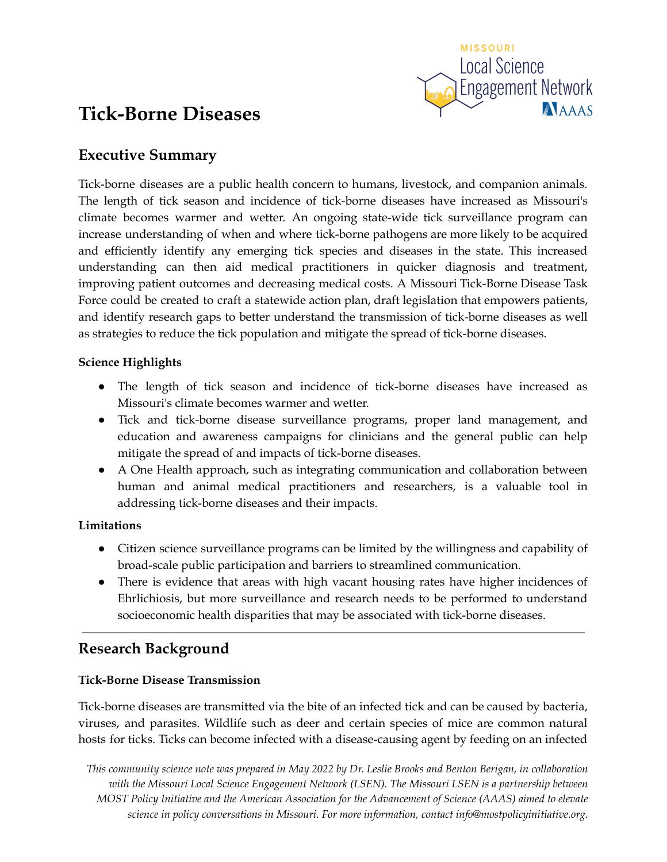

# **Tick-Borne Diseases**

# **Executive Summary**

Tick-borne diseases are a public health concern to humans, livestock, and companion animals. The length of tick season and incidence of tick-borne diseases have increased as Missouri's climate becomes warmer and wetter. An ongoing state-wide tick surveillance program can increase understanding of when and where tick-borne pathogens are more likely to be acquired and efficiently identify any emerging tick species and diseases in the state. This increased understanding can then aid medical practitioners in quicker diagnosis and treatment, improving patient outcomes and decreasing medical costs. A Missouri Tick-Borne Disease Task Force could be created to craft a statewide action plan, draft legislation that empowers patients, and identify research gaps to better understand the transmission of tick-borne diseases as well as strategies to reduce the tick population and mitigate the spread of tick-borne diseases.

# **Science Highlights**

- The length of tick season and incidence of tick-borne diseases have increased as Missouri's climate becomes warmer and wetter.
- Tick and tick-borne disease surveillance programs, proper land management, and education and awareness campaigns for clinicians and the general public can help mitigate the spread of and impacts of tick-borne diseases.
- A One Health approach, such as integrating communication and collaboration between human and animal medical practitioners and researchers, is a valuable tool in addressing tick-borne diseases and their impacts.

# **Limitations**

- Citizen science surveillance programs can be limited by the willingness and capability of broad-scale public participation and barriers to streamlined communication.
- There is evidence that areas with high vacant housing rates have higher incidences of Ehrlichiosis, but more surveillance and research needs to be performed to understand socioeconomic health disparities that may be associated with tick-borne diseases.

# **Research Background**

# **Tick-Borne Disease Transmission**

Tick-borne diseases are transmitted via the bite of an infected tick and can be caused by bacteria, viruses, and parasites. Wildlife such as deer and certain species of mice are common natural hosts for ticks. Ticks can become infected with a disease-causing agent by feeding on an infected

This community science note was prepared in May 2022 by Dr. Leslie Brooks and Benton Berigan, in collaboration *with the Missouri Local Science Engagement Network (LSEN). The Missouri LSEN is a partnership between MOST Policy Initiative and the American Association for the Advancement of Science (AAAS) aimed to elevate science in policy conversations in Missouri. For more information, contact info@mostpolicyinitiative.org.*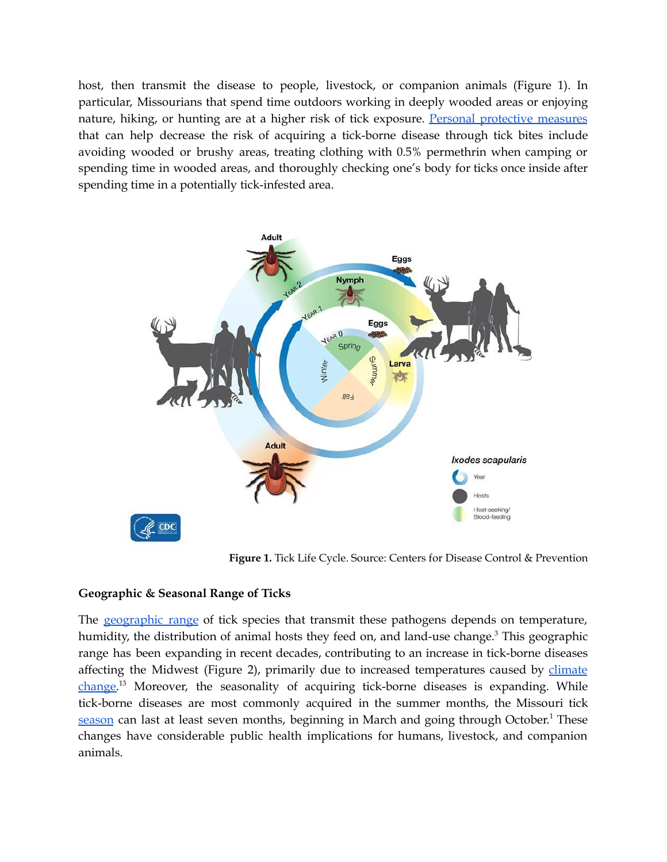host, then transmit the disease to people, livestock, or companion animals (Figure 1). In particular, Missourians that spend time outdoors working in deeply wooded areas or enjoying nature, hiking, or hunting are at a higher risk of tick exposure. Personal [protective](https://www.cdc.gov/ticks/avoid/on_people.html) measures that can help decrease the risk of acquiring a tick-borne disease through tick bites include avoiding wooded or brushy areas, treating clothing with 0.5% permethrin when camping or spending time in wooded areas, and thoroughly checking one's body for ticks once inside after spending time in a potentially tick-infested area.



**Figure 1.** Tick Life Cycle. Source: Centers for Disease Control & Prevention

#### **Geographic & Seasonal Range of Ticks**

The [geographic](https://www.ncbi.nlm.nih.gov/pmc/articles/PMC6587693/#:~:text=Increased%20temperature%20increases%20the%20survival,Canada%20as%20the%20climate%20changes.) range of tick species that transmit these pathogens depends on temperature, humidity, the distribution of animal hosts they feed on, and land-use change.<sup>3</sup> This geographic range has been expanding in recent decades, contributing to an increase in tick-borne diseases affecting the Midwest (Figure 2), primarily due to increased temperatures caused by [climate](https://www.ncbi.nlm.nih.gov/pmc/articles/PMC5877023/) [change.](https://www.ncbi.nlm.nih.gov/pmc/articles/PMC5877023/)<sup>13</sup> Moreover, the seasonality of acquiring tick-borne diseases is expanding. While tick-borne diseases are most commonly acquired in the summer months, the Missouri tick [season](https://www.cambridge.org/core/journals/epidemiology-and-infection/article/seasonality-and-trends-in-incidence-of-human-ehrlichiosis-in-two-missouri-ecoregions/BA4AF857754CB516C79FCBFECC49BDA1) can last at least seven months, beginning in March and going through October.<sup>1</sup> These changes have considerable public health implications for humans, livestock, and companion animals.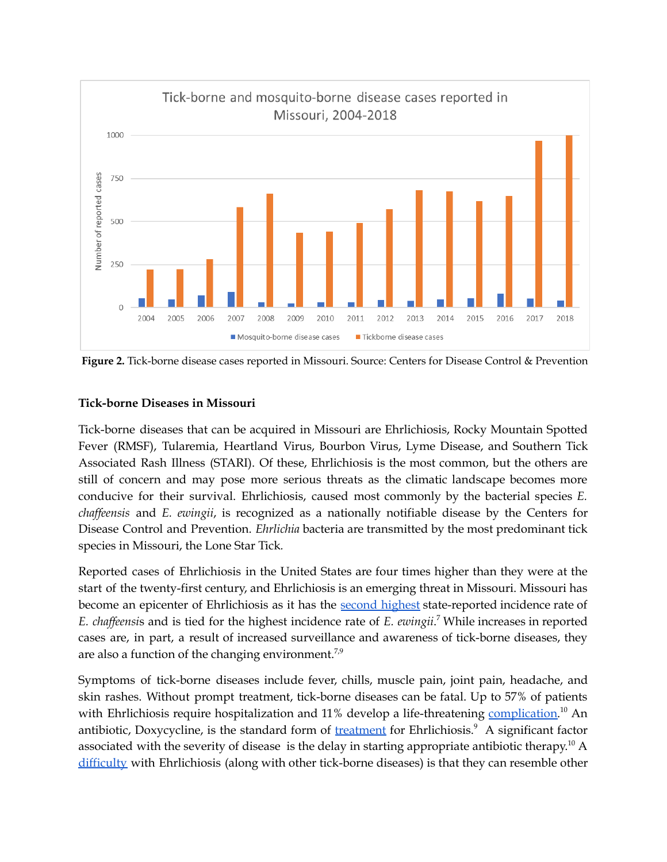

**Figure 2.** Tick-borne disease cases reported in Missouri. Source: Centers for Disease Control & Prevention

## **Tick-borne Diseases in Missouri**

Tick-borne diseases that can be acquired in Missouri are Ehrlichiosis, Rocky Mountain Spotted Fever (RMSF), Tularemia, Heartland Virus, Bourbon Virus, Lyme Disease, and Southern Tick Associated Rash Illness (STARI). Of these, Ehrlichiosis is the most common, but the others are still of concern and may pose more serious threats as the climatic landscape becomes more conducive for their survival. Ehrlichiosis, caused most commonly by the bacterial species *E. chaf eensis* and *E. ewingii*, is recognized as a nationally notifiable disease by the Centers for Disease Control and Prevention. *Ehrlichia* bacteria are transmitted by the most predominant tick species in Missouri, the Lone Star Tick*.*

Reported cases of Ehrlichiosis in the United States are four times higher than they were at the start of the twenty-first century, and Ehrlichiosis is an emerging threat in Missouri. Missouri has become an epicenter of Ehrlichiosis as it has the second [highest](https://www.ncbi.nlm.nih.gov/pmc/articles/PMC6139867/) state-reported incidence rate of *E. chaf eensi*s and is tied for the highest incidence rate of *E. ewingii*. <sup>7</sup> While increases in reported cases are, in part, a result of increased surveillance and awareness of tick-borne diseases, they are also a function of the changing environment.<sup>7,9</sup>

Symptoms of tick-borne diseases include fever, chills, muscle pain, joint pain, headache, and skin rashes. Without prompt treatment, tick-borne diseases can be fatal. Up to 57% of patients with Ehrlichiosis require hospitalization and 11% develop a life-threatening [complication.](https://jamanetwork.com/journals/jamanetworkopen/fullarticle/2773048)<sup>10</sup> An antibiotic, Doxycycline, is the standard form of [treatment](https://health.mo.gov/living/healthcondiseases/communicable/communicabledisease/cdmanual/pdf/Ehrlichiosis.pdf) for Ehrlichiosis.<sup>9</sup> A significant factor associated with the severity of disease is the delay in starting appropriate antibiotic therapy.<sup>10</sup> A [difficulty](https://health.mo.gov/living/healthcondiseases/communicable/communicabledisease/cdmanual/pdf/Ehrlichiosis.pdf) with Ehrlichiosis (along with other tick-borne diseases) is that they can resemble other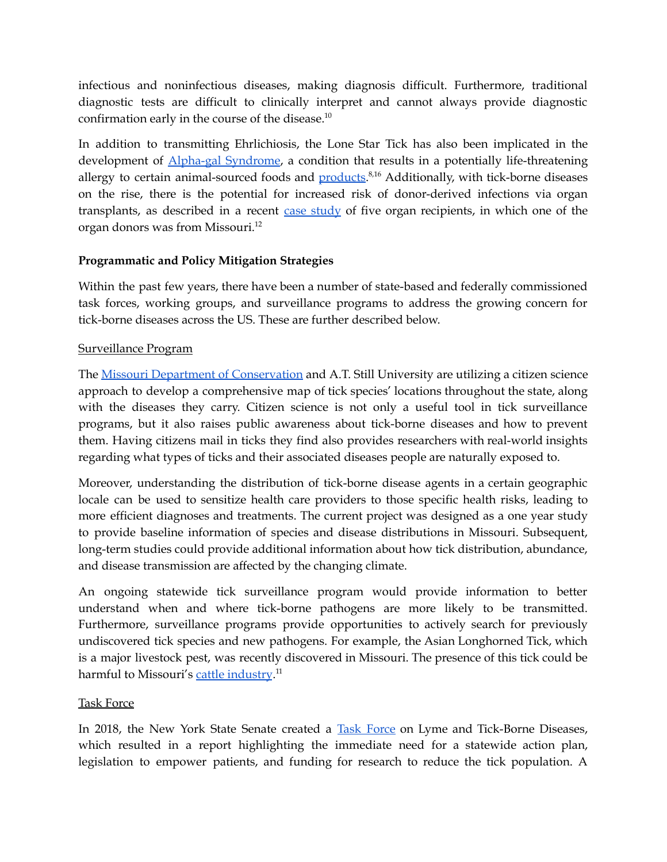infectious and noninfectious diseases, making diagnosis difficult. Furthermore, traditional diagnostic tests are difficult to clinically interpret and cannot always provide diagnostic confirmation early in the course of the disease. 10

In addition to transmitting Ehrlichiosis, the Lone Star Tick has also been implicated in the development of **Alpha-gal [Syndrome](https://www.ncbi.nlm.nih.gov/pmc/articles/PMC4313755/)**, a condition that results in a potentially life-threatening allergy to certain animal-sourced foods and **products**.<sup>8,16</sup> Additionally, with tick-borne diseases on the rise, there is the potential for increased risk of donor-derived infections via organ transplants, as described in a recent  $case$  [study](https://www.researchgate.net/profile/Aditi-Saha-4/publication/353606933_Donor-derived_Ehrlichiosis_2_Clusters_Following_Solid_Organ_Transplantation/links/61805508a767a03c14e1aa90/Donor-derived-Ehrlichiosis-2-Clusters-Following-Solid-Organ-Transplantation.pdf) of five organ recipients, in which one of the organ donors was from Missouri. 12

# **Programmatic and Policy Mitigation Strategies**

Within the past few years, there have been a number of state-based and federally commissioned task forces, working groups, and surveillance programs to address the growing concern for tick-borne diseases across the US. These are further described below.

# Surveillance Program

The Missouri Department of [Conservation](https://www.atsu.edu/missouri-ticks-and-tick-borne-pathogen-surveillance-research) and A.T. Still University are utilizing a citizen science approach to develop a comprehensive map of tick species' locations throughout the state, along with the diseases they carry. Citizen science is not only a useful tool in tick surveillance programs, but it also raises public awareness about tick-borne diseases and how to prevent them. Having citizens mail in ticks they find also provides researchers with real-world insights regarding what types of ticks and their associated diseases people are naturally exposed to.

Moreover, understanding the distribution of tick-borne disease agents in a certain geographic locale can be used to sensitize health care providers to those specific health risks, leading to more efficient diagnoses and treatments. The current project was designed as a one year study to provide baseline information of species and disease distributions in Missouri. Subsequent, long-term studies could provide additional information about how tick distribution, abundance, and disease transmission are affected by the changing climate.

An ongoing statewide tick surveillance program would provide information to better understand when and where tick-borne pathogens are more likely to be transmitted. Furthermore, surveillance programs provide opportunities to actively search for previously undiscovered tick species and new pathogens. For example, the Asian Longhorned Tick, which is a major livestock pest, was recently discovered in Missouri. The presence of this tick could be harmful to Missouri's <u>cattle [industry](https://agriculture.mo.gov/news/newsitem/uuid/2510b251-b71d-4107-8d0b-45455a8d9834/asian-longhorned-tick-confirmed-in-missouri)</u>.<sup>11</sup>

# Task Force

In 2018, the New York State Senate created a Task [Force](https://www.nysenate.gov/committees/task-force-lyme-and-tick-borne-diseases) on Lyme and Tick-Borne Diseases, which resulted in a report highlighting the immediate need for a statewide action plan, legislation to empower patients, and funding for research to reduce the tick population. A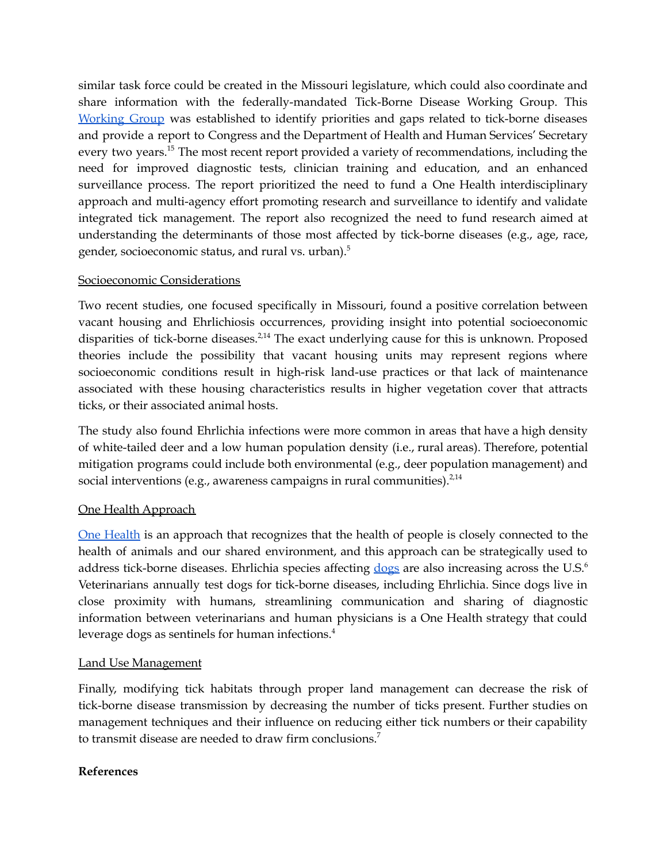similar task force could be created in the Missouri legislature, which could also coordinate and share information with the federally-mandated Tick-Borne Disease Working Group. This [Working](https://www.hhs.gov/sites/default/files/tbdwg-2020-report_to-ongress-final.pdf) Group was established to identify priorities and gaps related to tick-borne diseases and provide a report to Congress and the Department of Health and Human Services' Secretary every two years.<sup>15</sup> The most recent report provided a variety of recommendations, including the need for improved diagnostic tests, clinician training and education, and an enhanced surveillance process. The report prioritized the need to fund a One Health interdisciplinary approach and multi-agency effort promoting research and surveillance to identify and validate integrated tick management. The report also recognized the need to fund research aimed at understanding the determinants of those most affected by tick-borne diseases (e.g., age, race, gender, socioeconomic status, and rural vs. urban). 5

## Socioeconomic Considerations

Two recent studies, one focused specifically in Missouri, found a positive correlation between vacant housing and Ehrlichiosis occurrences, providing insight into potential socioeconomic disparities of tick-borne diseases.<sup>2,14</sup> The exact underlying cause for this is unknown. Proposed theories include the possibility that vacant housing units may represent regions where socioeconomic conditions result in high-risk land-use practices or that lack of maintenance associated with these housing characteristics results in higher vegetation cover that attracts ticks, or their associated animal hosts.

The study also found Ehrlichia infections were more common in areas that have a high density of white-tailed deer and a low human population density (i.e., rural areas). Therefore, potential mitigation programs could include both environmental (e.g., deer population management) and social interventions (e.g., awareness campaigns in rural communities). $^{2,14}$ 

# One Health Approach

One [Health](https://www.cdc.gov/onehealth/basics/index.html) is an approach that recognizes that the health of people is closely connected to the health of animals and our shared environment, and this approach can be strategically used to address tick-borne diseases. Ehrlichia species affecting [dogs](https://parasitesandvectors.biomedcentral.com/articles/10.1186/s13071-020-04022-4) are also increasing across the U.S.<sup>6</sup> Veterinarians annually test dogs for tick-borne diseases, including Ehrlichia. Since dogs live in close proximity with humans, streamlining communication and sharing of diagnostic information between veterinarians and human physicians is a One Health strategy that could leverage dogs as sentinels for human infections. 4

# Land Use Management

Finally, modifying tick habitats through proper land management can decrease the risk of tick-borne disease transmission by decreasing the number of ticks present. Further studies on management techniques and their influence on reducing either tick numbers or their capability to transmit disease are needed to draw firm conclusions. 7

# **References**